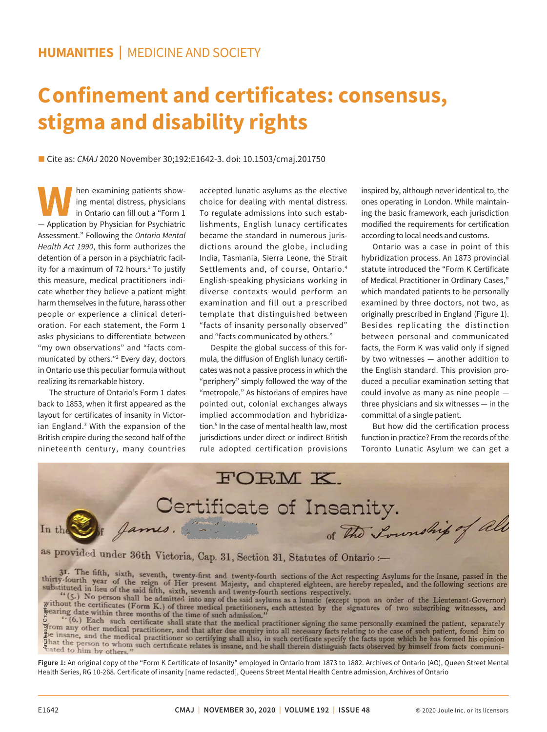## **Confinement and certificates: consensus, stigma and disability rights**

■ Cite as: *CMAJ* 2020 November 30;192:E1642-3. doi: 10.1503/cmaj.201750

**WARE A** hen examining patients show-<br>
in Ontario can fill out a "Form 1<br>
— Application by Physician for Psychiatric ing mental distress, physicians in Ontario can fill out a "Form 1 Assessment." Following the *Ontario Mental Health Act 1990*, this form authorizes the detention of a person in a psychiatric facility for a maximum of 72 hours.<sup>1</sup> To justify this measure, medical practitioners indicate whether they believe a patient might harm themselves in the future, harass other people or experience a clinical deterioration. For each statement, the Form 1 asks physicians to differentiate between "my own observations" and "facts communicated by others."2 Every day, doctors in Ontario use this peculiar formula without realizing its remarkable history.

The structure of Ontario's Form 1 dates back to 1853, when it first appeared as the layout for certificates of insanity in Victorian England.<sup>3</sup> With the expansion of the British empire during the second half of the nineteenth century, many countries

accepted lunatic asylums as the elective choice for dealing with mental distress. To regulate admissions into such establishments, English lunacy certificates became the standard in numerous jurisdictions around the globe, including India, Tasmania, Sierra Leone, the Strait Settlements and, of course, Ontario.4 English-speaking physicians working in diverse contexts would perform an examination and fill out a prescribed template that distinguished between "facts of insanity personally observed" and "facts communicated by others."

Despite the global success of this formula, the diffusion of English lunacy certificates was not a passive process in which the "periphery" simply followed the way of the "metropole." As historians of empires have pointed out, colonial exchanges always implied accommodation and hybridization.5 In the case of mental health law, most jurisdictions under direct or indirect British rule adopted certification provisions

inspired by, although never identical to, the ones operating in London. While maintaining the basic framework, each jurisdiction modified the requirements for certification according to local needs and customs.

Ontario was a case in point of this hybridization process. An 1873 provincial statute introduced the "Form K Certificate of Medical Practitioner in Ordinary Cases," which mandated patients to be personally examined by three doctors, not two, as originally prescribed in England (Figure 1). Besides replicating the distinction between personal and communicated facts, the Form K was valid only if signed by two witnesses — another addition to the English standard. This provision produced a peculiar examination setting that could involve as many as nine people three physicians and six witnesses — in the committal of a single patient.

But how did the certification process function in practice? From the records of the Toronto Lunatic Asylum we can get a

FORM K. Certificate of Insanity. of the Soundhip of all Si James. In the

as provided under 36th Victoria, Cap. 31, Section 31, Statutes of Ontario :-

Fearing date within three months of the time of such admission."<br>
According the signatures of two subscribing<br>  $\cdot$  (6.) Each such certificate shall state that the medical practitioner signing the same personally examined

**Figure 1:** An original copy of the "Form K Certificate of Insanity" employed in Ontario from 1873 to 1882. Archives of Ontario (AO), Queen Street Mental